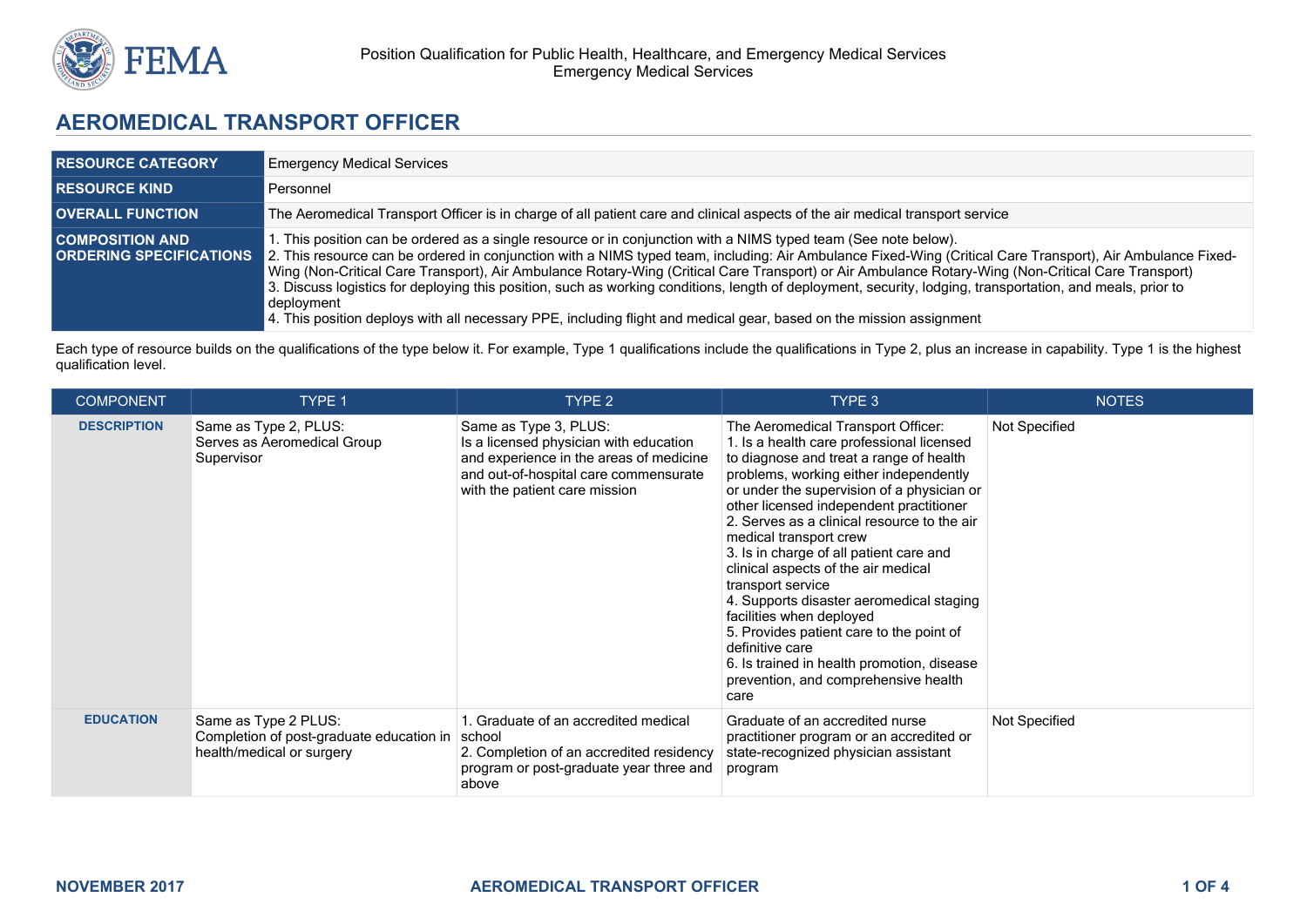

# **AEROMEDICAL TRANSPORT OFFICER**

| <b>RESOURCE CATEGORY</b> | <b>Emergency Medical Services</b>                                                                                                                                                                                                                                                                                                                                                                                                                                                                                                                                                                                                                                                                                                                                        |
|--------------------------|--------------------------------------------------------------------------------------------------------------------------------------------------------------------------------------------------------------------------------------------------------------------------------------------------------------------------------------------------------------------------------------------------------------------------------------------------------------------------------------------------------------------------------------------------------------------------------------------------------------------------------------------------------------------------------------------------------------------------------------------------------------------------|
| <b>RESOURCE KIND A</b>   | Personnel                                                                                                                                                                                                                                                                                                                                                                                                                                                                                                                                                                                                                                                                                                                                                                |
| <b>OVERALL FUNCTION</b>  | The Aeromedical Transport Officer is in charge of all patient care and clinical aspects of the air medical transport service                                                                                                                                                                                                                                                                                                                                                                                                                                                                                                                                                                                                                                             |
| <b>COMPOSITION AND</b>   | l. This position can be ordered as a single resource or in conjunction with a NIMS typed team (See note below).<br><b>ORDERING SPECIFICATIONS</b> 2. This resource can be ordered in conjunction with a NIMS typed team, including: Air Ambulance Fixed-Wing (Critical Care Transport), Air Ambulance Fixed-<br>Wing (Non-Critical Care Transport), Air Ambulance Rotary-Wing (Critical Care Transport) or Air Ambulance Rotary-Wing (Non-Critical Care Transport)<br>3. Discuss logistics for deploying this position, such as working conditions, length of deployment, security, lodging, transportation, and meals, prior to<br>  deployment <br>4. This position deploys with all necessary PPE, including flight and medical gear, based on the mission assignment |

Each type of resource builds on the qualifications of the type below it. For example, Type 1 qualifications include the qualifications in Type 2, plus an increase in capability. Type 1 is the highest qualification level.

| <b>COMPONENT</b>   | TYPE 1                                                                                                 | TYPE 2                                                                                                                                                                               | TYPE 3                                                                                                                                                                                                                                                                                                                                                                                                                                                                                                                                                                                                                                                                             | <b>NOTES</b>  |
|--------------------|--------------------------------------------------------------------------------------------------------|--------------------------------------------------------------------------------------------------------------------------------------------------------------------------------------|------------------------------------------------------------------------------------------------------------------------------------------------------------------------------------------------------------------------------------------------------------------------------------------------------------------------------------------------------------------------------------------------------------------------------------------------------------------------------------------------------------------------------------------------------------------------------------------------------------------------------------------------------------------------------------|---------------|
| <b>DESCRIPTION</b> | Same as Type 2, PLUS:<br>Serves as Aeromedical Group<br>Supervisor                                     | Same as Type 3, PLUS:<br>Is a licensed physician with education<br>and experience in the areas of medicine<br>and out-of-hospital care commensurate<br>with the patient care mission | The Aeromedical Transport Officer:<br>1. Is a health care professional licensed<br>to diagnose and treat a range of health<br>problems, working either independently<br>or under the supervision of a physician or<br>other licensed independent practitioner<br>2. Serves as a clinical resource to the air<br>medical transport crew<br>3. Is in charge of all patient care and<br>clinical aspects of the air medical<br>transport service<br>4. Supports disaster aeromedical staging<br>facilities when deployed<br>5. Provides patient care to the point of<br>definitive care<br>6. Is trained in health promotion, disease<br>prevention, and comprehensive health<br>care | Not Specified |
| <b>EDUCATION</b>   | Same as Type 2 PLUS:<br>Completion of post-graduate education in   school<br>health/medical or surgery | 1. Graduate of an accredited medical<br>2. Completion of an accredited residency<br>program or post-graduate year three and<br>above                                                 | Graduate of an accredited nurse<br>practitioner program or an accredited or<br>state-recognized physician assistant<br>program                                                                                                                                                                                                                                                                                                                                                                                                                                                                                                                                                     | Not Specified |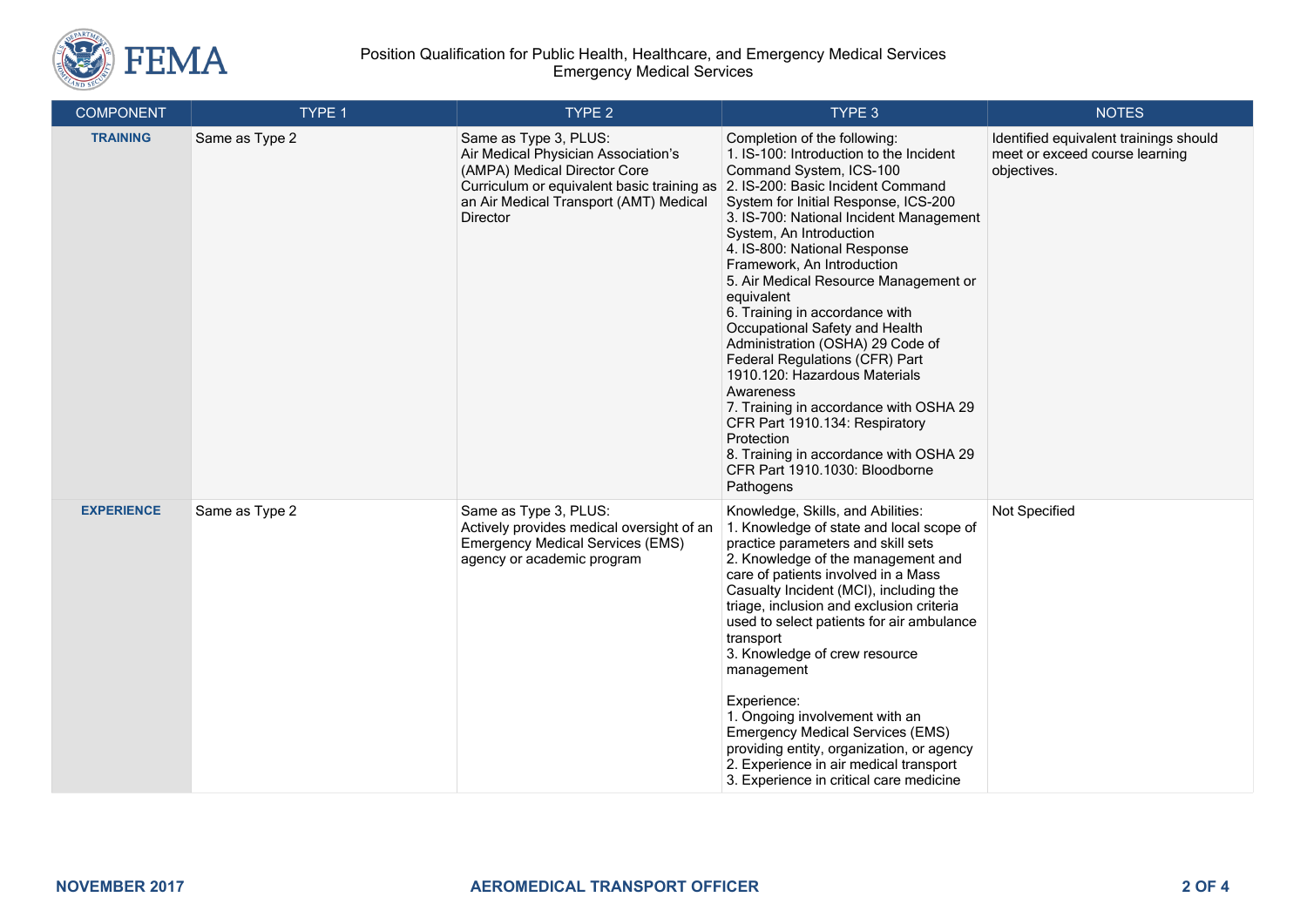

#### Position Qualification for Public Health, Healthcare, and Emergency Medical Services Emergency Medical Services

| <b>COMPONENT</b>  | TYPE 1         | TYPE 2                                                                                                                                                                                           | TYPE 3                                                                                                                                                                                                                                                                                                                                                                                                                                                                                                                                                                                                                                                                                                                                                | <b>NOTES</b>                                                                            |
|-------------------|----------------|--------------------------------------------------------------------------------------------------------------------------------------------------------------------------------------------------|-------------------------------------------------------------------------------------------------------------------------------------------------------------------------------------------------------------------------------------------------------------------------------------------------------------------------------------------------------------------------------------------------------------------------------------------------------------------------------------------------------------------------------------------------------------------------------------------------------------------------------------------------------------------------------------------------------------------------------------------------------|-----------------------------------------------------------------------------------------|
| <b>TRAINING</b>   | Same as Type 2 | Same as Type 3, PLUS:<br>Air Medical Physician Association's<br>(AMPA) Medical Director Core<br>Curriculum or equivalent basic training as<br>an Air Medical Transport (AMT) Medical<br>Director | Completion of the following:<br>1. IS-100: Introduction to the Incident<br>Command System, ICS-100<br>2. IS-200: Basic Incident Command<br>System for Initial Response, ICS-200<br>3. IS-700: National Incident Management<br>System, An Introduction<br>4. IS-800: National Response<br>Framework, An Introduction<br>5. Air Medical Resource Management or<br>equivalent<br>6. Training in accordance with<br>Occupational Safety and Health<br>Administration (OSHA) 29 Code of<br>Federal Regulations (CFR) Part<br>1910.120: Hazardous Materials<br>Awareness<br>7. Training in accordance with OSHA 29<br>CFR Part 1910.134: Respiratory<br>Protection<br>8. Training in accordance with OSHA 29<br>CFR Part 1910.1030: Bloodborne<br>Pathogens | Identified equivalent trainings should<br>meet or exceed course learning<br>objectives. |
| <b>EXPERIENCE</b> | Same as Type 2 | Same as Type 3, PLUS:<br>Actively provides medical oversight of an<br><b>Emergency Medical Services (EMS)</b><br>agency or academic program                                                      | Knowledge, Skills, and Abilities:<br>1. Knowledge of state and local scope of<br>practice parameters and skill sets<br>2. Knowledge of the management and<br>care of patients involved in a Mass<br>Casualty Incident (MCI), including the<br>triage, inclusion and exclusion criteria<br>used to select patients for air ambulance<br>transport<br>3. Knowledge of crew resource<br>management<br>Experience:<br>1. Ongoing involvement with an<br><b>Emergency Medical Services (EMS)</b><br>providing entity, organization, or agency<br>2. Experience in air medical transport<br>3. Experience in critical care medicine                                                                                                                         | Not Specified                                                                           |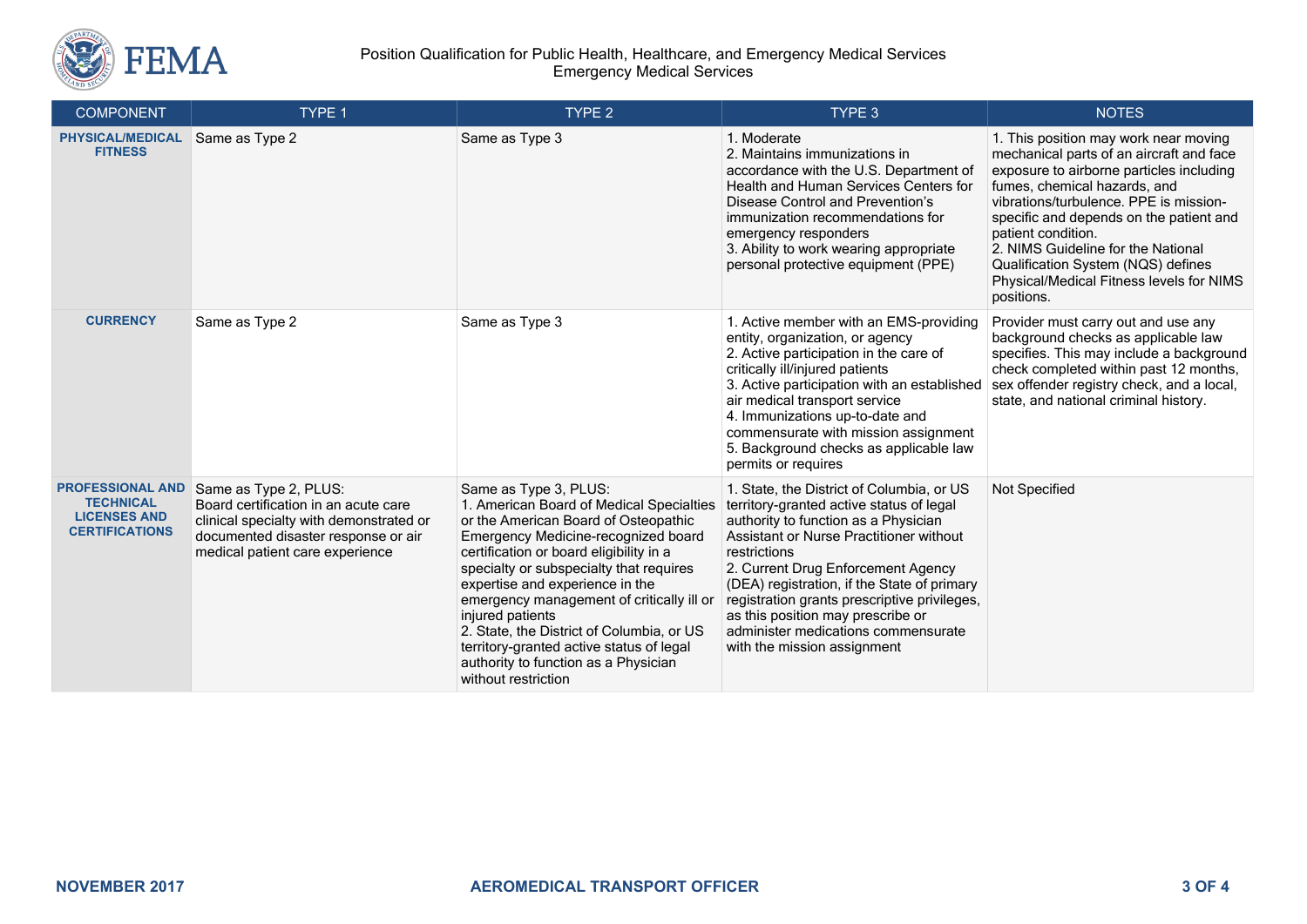

#### Position Qualification for Public Health, Healthcare, and Emergency Medical Services Emergency Medical Services

| <b>COMPONENT</b>                                                                            | TYPE 1                                                                                                                                                                             | TYPE <sub>2</sub>                                                                                                                                                                                                                                                                                                                                                                                                                                                                                  | TYPE 3                                                                                                                                                                                                                                                                                                                                                                                                                                   | <b>NOTES</b>                                                                                                                                                                                                                                                                                                                                                                                                   |
|---------------------------------------------------------------------------------------------|------------------------------------------------------------------------------------------------------------------------------------------------------------------------------------|----------------------------------------------------------------------------------------------------------------------------------------------------------------------------------------------------------------------------------------------------------------------------------------------------------------------------------------------------------------------------------------------------------------------------------------------------------------------------------------------------|------------------------------------------------------------------------------------------------------------------------------------------------------------------------------------------------------------------------------------------------------------------------------------------------------------------------------------------------------------------------------------------------------------------------------------------|----------------------------------------------------------------------------------------------------------------------------------------------------------------------------------------------------------------------------------------------------------------------------------------------------------------------------------------------------------------------------------------------------------------|
| <b>PHYSICAL/MEDICAL</b><br><b>FITNESS</b>                                                   | Same as Type 2                                                                                                                                                                     | Same as Type 3                                                                                                                                                                                                                                                                                                                                                                                                                                                                                     | 1. Moderate<br>2. Maintains immunizations in<br>accordance with the U.S. Department of<br>Health and Human Services Centers for<br>Disease Control and Prevention's<br>immunization recommendations for<br>emergency responders<br>3. Ability to work wearing appropriate<br>personal protective equipment (PPE)                                                                                                                         | 1. This position may work near moving<br>mechanical parts of an aircraft and face<br>exposure to airborne particles including<br>fumes, chemical hazards, and<br>vibrations/turbulence. PPE is mission-<br>specific and depends on the patient and<br>patient condition.<br>2. NIMS Guideline for the National<br>Qualification System (NQS) defines<br>Physical/Medical Fitness levels for NIMS<br>positions. |
| <b>CURRENCY</b>                                                                             | Same as Type 2                                                                                                                                                                     | Same as Type 3                                                                                                                                                                                                                                                                                                                                                                                                                                                                                     | 1. Active member with an EMS-providing<br>entity, organization, or agency<br>2. Active participation in the care of<br>critically ill/injured patients<br>3. Active participation with an established<br>air medical transport service<br>4. Immunizations up-to-date and<br>commensurate with mission assignment<br>5. Background checks as applicable law<br>permits or requires                                                       | Provider must carry out and use any<br>background checks as applicable law<br>specifies. This may include a background<br>check completed within past 12 months,<br>sex offender registry check, and a local,<br>state, and national criminal history.                                                                                                                                                         |
| <b>PROFESSIONAL AND</b><br><b>TECHNICAL</b><br><b>LICENSES AND</b><br><b>CERTIFICATIONS</b> | Same as Type 2, PLUS:<br>Board certification in an acute care<br>clinical specialty with demonstrated or<br>documented disaster response or air<br>medical patient care experience | Same as Type 3, PLUS:<br>1. American Board of Medical Specialties<br>or the American Board of Osteopathic<br>Emergency Medicine-recognized board<br>certification or board eligibility in a<br>specialty or subspecialty that requires<br>expertise and experience in the<br>emergency management of critically ill or<br>injured patients<br>2. State, the District of Columbia, or US<br>territory-granted active status of legal<br>authority to function as a Physician<br>without restriction | 1. State, the District of Columbia, or US<br>territory-granted active status of legal<br>authority to function as a Physician<br>Assistant or Nurse Practitioner without<br>restrictions<br>2. Current Drug Enforcement Agency<br>(DEA) registration, if the State of primary<br>registration grants prescriptive privileges,<br>as this position may prescribe or<br>administer medications commensurate<br>with the mission assignment | Not Specified                                                                                                                                                                                                                                                                                                                                                                                                  |